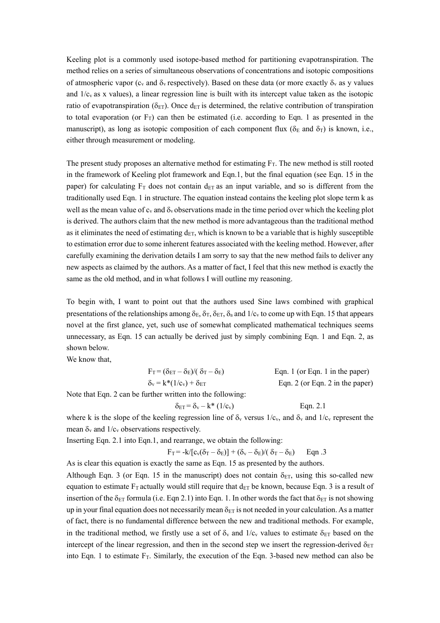Keeling plot is a commonly used isotope-based method for partitioning evapotranspiration. The method relies on a series of simultaneous observations of concentrations and isotopic compositions of atmospheric vapor (c<sub>v</sub> and  $\delta_y$  respectively). Based on these data (or more exactly  $\delta_y$  as y values and  $1/c<sub>v</sub>$  as x values), a linear regression line is built with its intercept value taken as the isotopic ratio of evapotranspiration ( $\delta_{ET}$ ). Once d<sub>ET</sub> is determined, the relative contribution of transpiration to total evaporation (or  $F_T$ ) can then be estimated (i.e. according to Eqn. 1 as presented in the manuscript), as long as isotopic composition of each component flux ( $\delta_E$  and  $\delta_T$ ) is known, i.e., either through measurement or modeling.

The present study proposes an alternative method for estimating  $F<sub>T</sub>$ . The new method is still rooted in the framework of Keeling plot framework and Eqn.1, but the final equation (see Eqn. 15 in the paper) for calculating  $F_T$  does not contain d<sub>ET</sub> as an input variable, and so is different from the traditionally used Eqn. 1 in structure. The equation instead contains the keeling plot slope term k as well as the mean value of  $c_v$  and  $\delta_v$  observations made in the time period over which the keeling plot is derived. The authors claim that the new method is more advantageous than the traditional method as it eliminates the need of estimating  $d_{ET}$ , which is known to be a variable that is highly susceptible to estimation error due to some inherent features associated with the keeling method. However, after carefully examining the derivation details I am sorry to say that the new method fails to deliver any new aspects as claimed by the authors. As a matter of fact, I feel that this new method is exactly the same as the old method, and in what follows I will outline my reasoning.

To begin with, I want to point out that the authors used Sine laws combined with graphical presentations of the relationships among  $\delta_F$ ,  $\delta_T$ ,  $\delta_{F,T}$ ,  $\delta_a$  and  $1/c_v$  to come up with Eqn. 15 that appears novel at the first glance, yet, such use of somewhat complicated mathematical techniques seems unnecessary, as Eqn. 15 can actually be derived just by simply combining Eqn. 1 and Eqn. 2, as shown below.

We know that,

| $F_T = (\delta_{ET} - \delta_E)/(\delta_T - \delta_E)$ | Eqn. 1 (or Eqn. 1 in the paper) |
|--------------------------------------------------------|---------------------------------|
| $\delta_{\rm v} = k^*(1/c_{\rm v}) + \delta_{\rm ET}$  | Eqn. 2 (or Eqn. 2 in the paper) |

Note that Eqn. 2 can be further written into the following:

$$
\delta_{ET} = \delta_{v} - k^* \left( 1/c_v \right) \qquad \text{Eqn. 2.1}
$$

where k is the slope of the keeling regression line of  $\delta_y$  versus  $1/c_y$ , and  $\delta_y$  and  $1/c_y$  represent the mean  $\delta_y$  and  $1/c_y$  observations respectively.

Inserting Eqn. 2.1 into Eqn.1, and rearrange, we obtain the following:

$$
F_T = -k/[c_v(\delta_T - \delta_E)] + (\delta_v - \delta_E)/(\delta_T - \delta_E)
$$
 Eqn .3

As is clear this equation is exactly the same as Eqn. 15 as presented by the authors.

Although Eqn. 3 (or Eqn. 15 in the manuscript) does not contain  $\delta_{ET}$ , using this so-called new equation to estimate  $F_T$  actually would still require that  $d_{ET}$  be known, because Eqn. 3 is a result of insertion of the  $\delta_{ET}$  formula (i.e. Eqn 2.1) into Eqn. 1. In other words the fact that  $\delta_{ET}$  is not showing up in your final equation does not necessarily mean  $\delta_{ET}$  is not needed in your calculation. As a matter of fact, there is no fundamental difference between the new and traditional methods. For example, in the traditional method, we firstly use a set of  $\delta_y$  and  $1/c_y$  values to estimate  $\delta_{ET}$  based on the intercept of the linear regression, and then in the second step we insert the regression-derived  $\delta_{ET}$ into Eqn. 1 to estimate  $F_T$ . Similarly, the execution of the Eqn. 3-based new method can also be